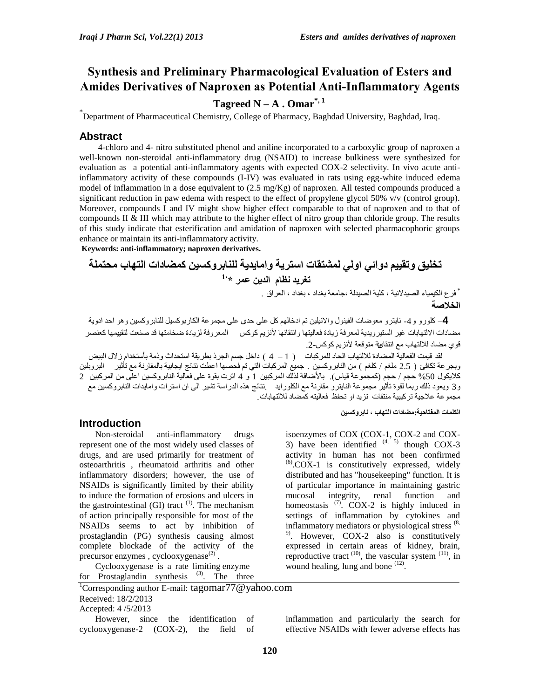# **Synthesis and Preliminary Pharmacological Evaluation of Esters and Amides Derivatives of Naproxen as Potential Anti-Inflammatory Agents**

# **Tagreed N** – **A** . Omar<sup>\*, 1</sup>

\* Department of Pharmaceutical Chemistry, College of Pharmacy, Baghdad University, Baghdad, Iraq.

# **Abstract**

4-chloro and 4- nitro substituted phenol and aniline incorporated to a carboxylic group of naproxen a well-known non-steroidal anti-inflammatory drug (NSAID) to increase bulkiness were synthesized for evaluation as a potential anti-inflammatory agents with expected COX-2 selectivity. In vivo acute antiinflammatory activity of these compounds (I-IV) was evaluated in rats using egg-white induced edema model of inflammation in a dose equivalent to (2.5 mg/Kg) of naproxen. All tested compounds produced a significant reduction in paw edema with respect to the effect of propylene glycol 50% v/v (control group). Moreover, compounds I and IV might show higher effect comparable to that of naproxen and to that of compounds II & III which may attribute to the higher effect of nitro group than chloride group. The results of this study indicate that esterification and amidation of naproxen with selected pharmacophoric groups enhance or maintain its anti-inflammatory activity.

**Keywords: anti-inflammatory; naproxen derivatives.**

**تخليق وتقيين دوائي اولي لوشتقات استرية واهايذية للنابروكسين كوضادات التهاب هحتولة 1، تغريذ نظام الذين عور \***

> \* فرع الكيمياء الصيدلانية ، كلية الصيدلة ،جامعة بغداد ، بغداد ، العراق . **الخالصة**

4– كلورو و 4- نايترو معوضات الفينول والانيلين تم ادخالهم كل على حدي على مجموعة الكاربوكسيل للنابروكسين وهو احد ادوية مضادات الالتهابات غير الستير ويدية لمعر فة زيادة فعاليتها و انتقائها لأنزيم كوكس المعر وفة لزيادة ضخامتها قد صنعت لتقييمها كعنصر قوى مضاد للالتهاب مع انتقائه مقوقعة لأنزيم كوكس-2.

لقد قيمت الفعالية المضادة للالتهاب الحاد للمر كبات ( 1 – 4 ) داخل جسم الجر ذ بطر بقة استحداث و ذمة بأستخدام ز لال البيض وبجرعة تكافئ ( 2.5 ملغم / كلغم ) من النابر وكسين . جميع المركبات التي تم فحصـها اعطت نتائج ابجابية بالمقارنة مع تأثير البروبلين كلايكول 50% حجم / حجم (كمجموعة قياس). بالأضافة لذلك المركبين 1 و 4 اثرت بقوة على فعالية النابروكسين اعلّي من المركبين 2 و3 ويعود ذلك ربما لقوة تأثير مجموعة النايترو مقارنة مع الكلورايد ﴿ بنائج هذه الدراسة تشير الى ان استرات وامايدات النابروكسين مع مجموعة علاجية تركيبية منتقات تزيد او تحفظ فعاليته كمضاد للالتهابات.

**الكلوات الوفتاحية:هضادات التهاب ، نابروكسين** 

# **Introduction**

Non-steroidal anti-inflammatory drugs represent one of the most widely used classes of drugs, and are used primarily for treatment of osteoarthritis , rheumatoid arthritis and other inflammatory disorders; however, the use of NSAIDs is significantly limited by their ability to induce the formation of erosions and ulcers in the gastrointestinal (GI) tract  $(1)$ . The mechanism of action principally responsible for most of the NSAIDs seems to act by inhibition of prostaglandin (PG) synthesis causing almost complete blockade of the activity of the precursor enzymes, cyclooxygenase $^{(2)}$ .

Cyclooxygenase is a rate limiting enzyme for Prostaglandin synthesis  $(3)$ . The three

<sup>1</sup>Corresponding author E-mail: tagomar<sup>77@</sup> vahoo.com Received: 18/2/2013 Accepted: 4 /5/2013 However, since the identification of

cyclooxygenase-2 (COX-2), the field of

isoenzymes of COX (COX-1, COX-2 and COX-3) have been identified  $(4, 5)$  though COX-3 activity in human has not been confirmed  $^{(6)}$ .COX-1 is constitutively expressed, widely distributed and has "housekeeping" function. It is of particular importance in maintaining gastric mucosal integrity, renal function and homeostasis  $(7)$ . COX-2 is highly induced in settings of inflammation by cytokines and inflammatory mediators or physiological stress  $(8, 8)$ 9) . However, COX-2 also is constitutively expressed in certain areas of kidney, brain, reproductive tract  $(10)$ , the vascular system  $(11)$ , in wound healing, lung and bone  $(12)$ .

inflammation and particularly the search for effective NSAIDs with fewer adverse effects has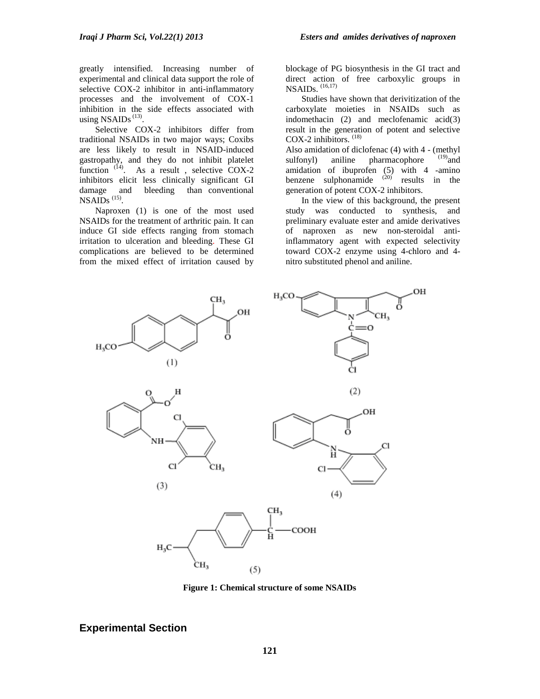greatly intensified. Increasing number of experimental and clinical data support the role of selective COX-2 inhibitor in anti-inflammatory processes and the involvement of COX-1 inhibition in the side effects associated with using NSAIDs $^{(13)}$ .

Selective COX-2 inhibitors differ from traditional NSAIDs in two major ways; Coxibs are less likely to result in NSAID-induced gastropathy, and they do not inhibit platelet function  $(14)$ . As a result, selective COX-2 inhibitors elicit less clinically significant GI damage and bleeding than conventional  $NSAIDs$ <sup> $(15)$ </sup>.

Naproxen (1) is one of the most used NSAIDs for the treatment of arthritic pain. It can induce GI side effects ranging from stomach irritation to ulceration and bleeding. These GI complications are believed to be determined from the mixed effect of irritation caused by

blockage of PG biosynthesis in the GI tract and direct action of free carboxylic groups in NSAIDs. (16,17)

Studies have shown that derivitization of the carboxylate moieties in NSAIDs such as indomethacin (2) and meclofenamic acid(3) result in the generation of potent and selective COX-2 inhibitors.  $^{(18)}$ 

Also amidation of diclofenac (4) with 4 - (methyl<br>sulfonyl) aniline pharmacophore  $(19)$  and sulfonyl) aniline pharmacophore amidation of ibuprofen (5) with 4 -amino benzene sulphonamide  $(20)$  results in the generation of potent COX-2 inhibitors.

In the view of this background, the present study was conducted to synthesis, and preliminary evaluate ester and amide derivatives of naproxen as new non-steroidal antiinflammatory agent with expected selectivity toward COX-2 enzyme using 4-chloro and 4 nitro substituted phenol and aniline.



**Figure 1: Chemical structure of some NSAIDs**

# **Experimental Section**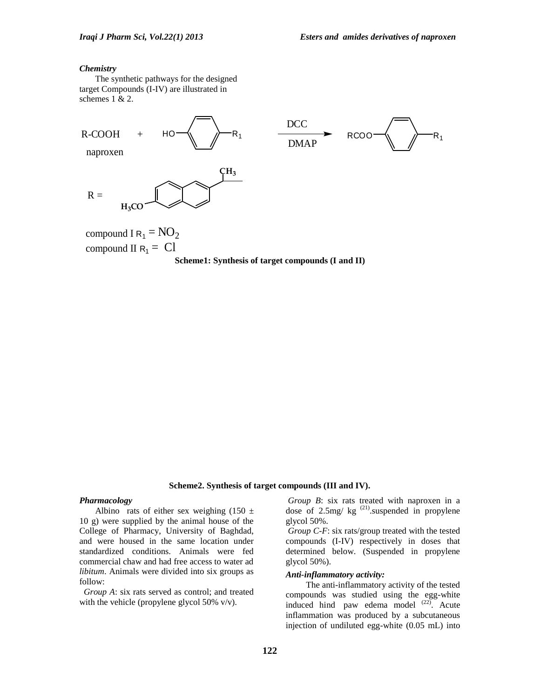#### *Chemistry*

The synthetic pathways for the designed target Compounds (I-IV) are illustrated in schemes 1 & 2.



#### **Scheme2. Synthesis of target compounds (III and IV).**

#### *Pharmacology*

Albino rats of either sex weighing  $(150 \pm$ 10 g) were supplied by the animal house of the College of Pharmacy, University of Baghdad, and were housed in the same location under standardized conditions. Animals were fed commercial chaw and had free access to water ad *libitum*. Animals were divided into six groups as follow:

 *Group A*: six rats served as control; and treated with the vehicle (propylene glycol 50% v/v).

*Group B*: six rats treated with naproxen in a dose of 2.5mg/  $kg^{(21)}$ .suspended in propylene glycol 50%.

*Group C-F*: six rats/group treated with the tested compounds (I-IV) respectively in doses that determined below. (Suspended in propylene glycol 50%).

#### *Anti-inflammatory activity:*

The anti-inflammatory activity of the tested compounds was studied using the egg-white induced hind paw edema model  $(22)$ . Acute inflammation was produced by a subcutaneous injection of undiluted egg-white (0.05 mL) into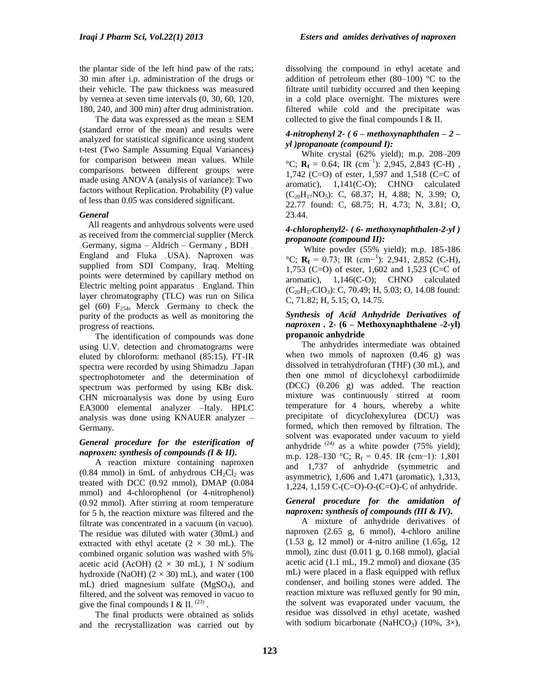the plantar side of the left hind paw of the rats; 30 min after i.p. administration of the drugs or their vehicle. The paw thickness was measured by vernea at seven time intervals (0, 30, 60, 120, 180, 240, and 300 min) after drug administration.

The data was expressed as the mean  $\pm$  SEM (standard error of the mean) and results were analyzed for statistical significance using student t-test (Two Sample Assuming Equal Variances) for comparison between mean values. While comparisons between different groups were made using ANOVA (analysis of variance): Two factors without Replication. Probability (P) value of less than 0.05 was considered significant.

#### *General*

All reagents and anhydrous solvents were used as received from the commercial supplier (Merck –Germany, sigma – Aldrich – Germany , BDH – England and Fluka –USA). Naproxen was supplied from SDI Company, Iraq. Melting points were determined by capillary method on Electric melting point apparatus – England. Thin layer chromatography (TLC) was run on Silica gel (60)  $F_{254}$ , Merck  $-Germany$  to check the purity of the products as well as monitoring the progress of reactions.

The identification of compounds was done using U.V. detection and chromatograms were eluted by chloroform: methanol (85:15). FT-IR spectra were recorded by using Shimadzu –Japan spectrophotometer and the determination of spectrum was performed by using KBr disk. CHN microanalysis was done by using Euro EA3000 elemental analyzer –Italy. HPLC analysis was done using KNAUER analyzer – Germany.

#### *General procedure for the esterification of naproxen: synthesis of compounds (I & II).*

A reaction mixture containing naproxen  $(0.84 \text{ mmol})$  in 6mL of anhydrous CH<sub>2</sub>Cl<sub>2</sub> was treated with DCC (0.92 mmol), DMAP (0.084 mmol) and 4-chlorophenol (or 4-nitrophenol) (0.92 mmol). After stirring at room temperature for 5 h, the reaction mixture was filtered and the filtrate was concentrated in a vacuum (in vacuo). The residue was diluted with water (30mL) and extracted with ethyl acetate  $(2 \times 30 \text{ mL})$ . The combined organic solution was washed with 5% acetic acid (AcOH) ( $2 \times 30$  mL), 1 N sodium hydroxide (NaOH)  $(2 \times 30)$  mL), and water (100 mL) dried magnesium sulfate (MgSO4), and filtered, and the solvent was removed in vacuo to give the final compounds I & II.  $^{(23)}$ .

The final products were obtained as solids and the recrystallization was carried out by dissolving the compound in ethyl acetate and addition of petroleum ether  $(80-100)$  °C to the filtrate until turbidity occurred and then keeping in a cold place overnight. The mixtures were filtered while cold and the precipitate was collected to give the final compounds I & II.

#### *4-nitrophenyl 2- ( 6 – methoxynaphthalen – 2 – yl )propanoate (compound I):*

White crystal (62% yield); m.p. 208–209 °C;  $\mathbf{R}_f = 0.64$ ; IR (cm<sup>-1</sup>): 2,945, 2,843 (C-H), 1,742 (C=O) of ester, 1,597 and 1,518 (C=C of aromatic), 1,141(C-O); CHNO calculated  $(C_{20}H_{17}NO_5)$ : C, 68.37; H, 4.88; N, 3.99; O, 22.77 found: C, 68.75; H, 4.73; N, 3.81; O, 23.44.

#### *4-chlorophenyl2- ( 6- methoxynaphthalen-2-yl ) propanoate (compound II):*

White powder (55% yield); m.p. 185-186  $^{\circ}$ C; **R**<sub>f</sub> = 0.73; IR (cm<sup>-1</sup>): 2,941, 2,852 (C-H), 1,753 (C=O) of ester, 1,602 and 1,523 (C=C of aromatic), 1,146(C-O); CHNO calculated  $(C_{20}H_{17}ClO_3)$ : C, 70.49; H, 5.03; O, 14.08 found: C, 71.82; H, 5.15; O, 14.75.

### *Synthesis of Acid Anhydride Derivatives of naproxen .* **2- (6 – Methoxynaphthalene -2-yl) propanoic anhydride**

The anhydrides intermediate was obtained when two mmols of naproxen  $(0.46 \text{ g})$  was dissolved in tetrahydrofuran (THF) (30 mL), and then one mmol of dicyclohexyl carbodiimide (DCC) (0.206 g) was added. The reaction mixture was continuously stirred at room temperature for 4 hours, whereby a white precipitate of dicyclohexylurea (DCU) was formed, which then removed by filtration. The solvent was evaporated under vacuum to yield anhydride  $^{(24)}$  as a white powder (75% yield); m.p. 128–130 °C; R<sub>f</sub> = 0.45. IR (cm−1): 1,801 and 1,737 of anhydride (symmetric and asymmetric), 1,606 and 1,471 (aromatic), 1,313, 1,224, 1,159 C-(C=O)-O-(C=O)-C of anhydride.

#### *General procedure for the amidation of naproxen: synthesis of compounds (III & IV).*

A mixture of anhydride derivatives of naproxen (2.65 g, 6 mmol), 4-chloro aniline (1.53 g, 12 mmol) or 4-nitro aniline (1.65g, 12 mmol), zinc dust (0.011 g, 0.168 mmol), glacial acetic acid (1.1 mL, 19.2 mmol) and dioxane (35 mL) were placed in a flask equipped with reflux condenser, and boiling stones were added. The reaction mixture was refluxed gently for 90 min, the solvent was evaporated under vacuum, the residue was dissolved in ethyl acetate, washed with sodium bicarbonate (NaHCO<sub>3</sub>) (10%,  $3\times$ ),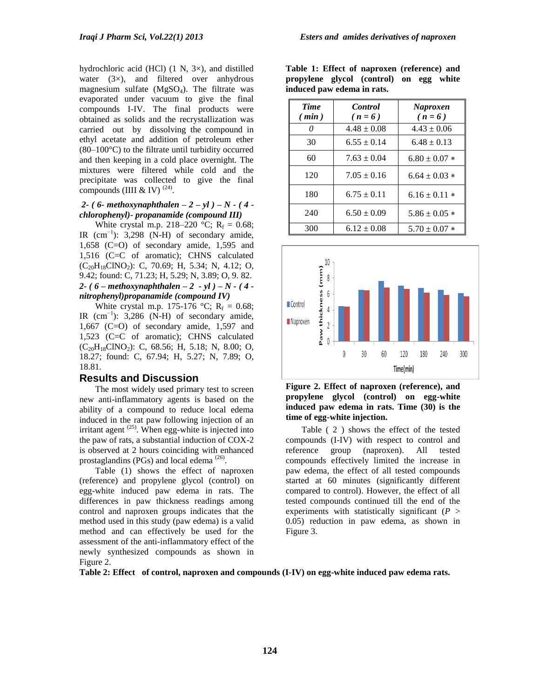hydrochloric acid (HCl) (1 N, 3×), and distilled water  $(3\times)$ , and filtered over anhydrous magnesium sulfate  $(MgSO<sub>4</sub>)$ . The filtrate was evaporated under vacuum to give the final compounds I-IV. The final products were obtained as solids and the recrystallization was carried out by dissolving the compound in ethyl acetate and addition of petroleum ether (80–100°C) to the filtrate until turbidity occurred and then keeping in a cold place overnight. The mixtures were filtered while cold and the precipitate was collected to give the final compounds (IIII & IV)  $^{(24)}$ .

#### *2- ( 6- methoxynaphthalen – 2 – yl ) – N - ( 4 chlorophenyl)- propanamide (compound III)*

White crystal m.p. 218–220 °C;  $R_f = 0.68$ ; IR  $(cm^{-1})$ : 3,298 (N-H) of secondary amide, 1,658 (C=O) of secondary amide, 1,595 and 1,516 (C=C of aromatic); CHNS calculated (C20H18ClNO2): C, 70.69; H, 5.34; N, 4.12; O, 9.42; found: C, 71.23; H, 5.29; N, 3.89; O, 9. 82. *2- ( 6 – methoxynaphthalen – 2 - yl ) – N - ( 4 nitrophenyl)propanamide (compound IV)* 

White crystal m.p. 175-176 °C;  $R_f = 0.68$ ; IR  $(cm^{-1})$ : 3,286 (N-H) of secondary amide, 1,667 (C=O) of secondary amide, 1,597 and 1,523 (C=C of aromatic); CHNS calculated  $(C_{20}H_{18}CINO_2)$ : C, 68.56; H, 5.18; N, 8.00; O, 18.27; found: C, 67.94; H, 5.27; N, 7.89; O, 18.81.

# **Results and Discussion**

The most widely used primary test to screen new anti-inflammatory agents is based on the ability of a compound to reduce local edema induced in the rat paw following injection of an irritant agent  $(25)$ . When egg-white is injected into the paw of rats, a substantial induction of COX-2 is observed at 2 hours coinciding with enhanced prostaglandins (PGs) and local edema  $(26)$ .

Table (1) shows the effect of naproxen (reference) and propylene glycol (control) on egg-white induced paw edema in rats. The differences in paw thickness readings among control and naproxen groups indicates that the method used in this study (paw edema) is a valid method and can effectively be used for the assessment of the anti-inflammatory effect of the newly synthesized compounds as shown in Figure 2.

|                            |  | Table 1: Effect of naproxen (reference) and |  |  |  |  |  |  |
|----------------------------|--|---------------------------------------------|--|--|--|--|--|--|
|                            |  | propylene glycol (control) on egg white     |  |  |  |  |  |  |
| induced paw edema in rats. |  |                                             |  |  |  |  |  |  |

| <b>Time</b> | <b>Control</b>  | <b>Naproxen</b>   |  |  |
|-------------|-----------------|-------------------|--|--|
| (min)       | $(n=6)$         | $(n=6)$           |  |  |
| n           | $4.48 \pm 0.08$ | $4.43 \pm 0.06$   |  |  |
| 30          | $6.55 \pm 0.14$ | $6.48 \pm 0.13$   |  |  |
| 60          | $7.63 \pm 0.04$ | $6.80 \pm 0.07$ * |  |  |
| 120         | $7.05 \pm 0.16$ | $6.64 \pm 0.03$ * |  |  |
| 180         | $6.75 \pm 0.11$ | $6.16 \pm 0.11$ * |  |  |
| 240         | $6.50 \pm 0.09$ | $5.86 \pm 0.05$ * |  |  |
| 300         | $6.12 \pm 0.08$ | $5.70 \pm 0.07$ * |  |  |



**Figure 2. Effect of naproxen (reference), and propylene glycol (control) on egg-white induced paw edema in rats. Time (30) is the time of egg-white injection.**

Table ( 2 ) shows the effect of the tested compounds (I-IV) with respect to control and reference group (naproxen). All tested compounds effectively limited the increase in paw edema, the effect of all tested compounds started at 60 minutes (significantly different compared to control). However, the effect of all tested compounds continued till the end of the experiments with statistically significant (*P* > 0.05) reduction in paw edema, as shown in Figure 3.

**Table 2: Effect of control, naproxen and compounds (I-IV) on egg-white induced paw edema rats.**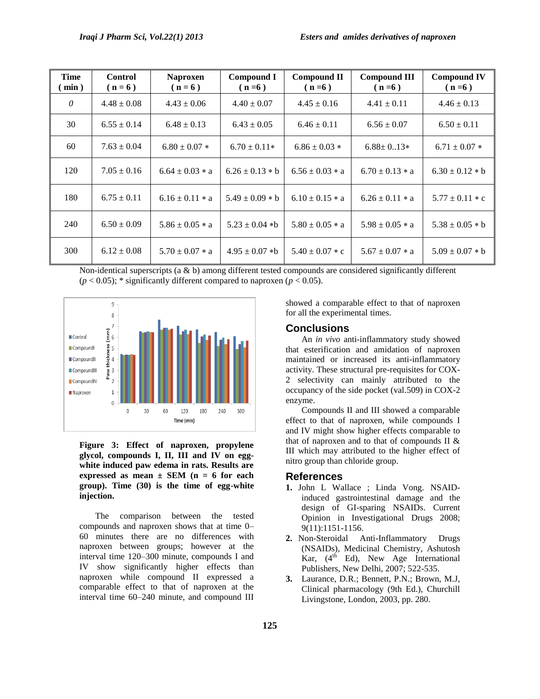| <b>Time</b><br>(min) | <b>Control</b><br>$(n=6)$ | <b>Naproxen</b><br>$(n=6)$ | <b>Compound I</b><br>$(n=6)$ | Compound II<br>$(n=6)$ | <b>Compound III</b><br>$(n=6)$ | <b>Compound IV</b><br>$(n=6)$ |
|----------------------|---------------------------|----------------------------|------------------------------|------------------------|--------------------------------|-------------------------------|
| 0                    | $4.48 \pm 0.08$           | $4.43 \pm 0.06$            | $4.40 \pm 0.07$              | $4.45 \pm 0.16$        | $4.41 \pm 0.11$                | $4.46 \pm 0.13$               |
| 30                   | $6.55 \pm 0.14$           | $6.48 \pm 0.13$            | $6.43 \pm 0.05$              | $6.46 \pm 0.11$        | $6.56 \pm 0.07$                | $6.50 \pm 0.11$               |
| 60                   | $7.63 \pm 0.04$           | $6.80 \pm 0.07$ *          | $6.70 \pm 0.11*$             | $6.86 \pm 0.03$ *      | $6.88 \pm 0.13*$               | $6.71 \pm 0.07$ *             |
| 120                  | $7.05 \pm 0.16$           | $6.64 \pm 0.03 \times a$   | $6.26 \pm 0.13 * b$          | $6.56 \pm 0.03 * a$    | $6.70 \pm 0.13 * a$            | $6.30 \pm 0.12 * b$           |
| 180                  | $6.75 \pm 0.11$           | $6.16 \pm 0.11 * a$        | $5.49 \pm 0.09 * b$          | $6.10 \pm 0.15 * a$    | $6.26 \pm 0.11 * a$            | $5.77 \pm 0.11 * c$           |
| 240                  | $6.50 \pm 0.09$           | $5.86 \pm 0.05 * a$        | $5.23 \pm 0.04$ *b           | $5.80 \pm 0.05 * a$    | $5.98 \pm 0.05 * a$            | $5.38 \pm 0.05 * b$           |
| 300                  | $6.12 \pm 0.08$           | $5.70 \pm 0.07 * a$        | $4.95 \pm 0.07$ *b           | $5.40 \pm 0.07 * c$    | $5.67 \pm 0.07 * a$            | $5.09 \pm 0.07 * b$           |

Non-identical superscripts (a & b) among different tested compounds are considered significantly different  $(p < 0.05)$ ; \* significantly different compared to naproxen  $(p < 0.05)$ .



**Figure 3: Effect of naproxen, propylene glycol, compounds I, II, III and IV on eggwhite induced paw edema in rats. Results are expressed as mean ± SEM (n = 6 for each group). Time (30) is the time of egg-white injection.**

The comparison between the tested compounds and naproxen shows that at time 0– 60 minutes there are no differences with naproxen between groups; however at the interval time 120–300 minute, compounds I and IV show significantly higher effects than naproxen while compound II expressed a comparable effect to that of naproxen at the interval time 60–240 minute, and compound III

showed a comparable effect to that of naproxen for all the experimental times.

#### **Conclusions**

An *in vivo* anti-inflammatory study showed that esterification and amidation of naproxen maintained or increased its anti-inflammatory activity. These structural pre-requisites for COX-2 selectivity can mainly attributed to the occupancy of the side pocket (val.509) in COX-2 enzyme.

Compounds II and III showed a comparable effect to that of naproxen, while compounds I and IV might show higher effects comparable to that of naproxen and to that of compounds II & III which may attributed to the higher effect of nitro group than chloride group.

#### **References**

- **1.** John L Wallace ; Linda Vong. NSAIDinduced gastrointestinal damage and the design of GI-sparing NSAIDs. Current Opinion in Investigational Drugs 2008; 9(11):1151-1156.
- **2.** Non-Steroidal Anti-Inflammatory Drugs (NSAIDs), Medicinal Chemistry, Ashutosh Kar,  $(4<sup>th</sup> Ed)$ , New Age International Publishers, New Delhi, 2007; 522-535.
- **3.** Laurance, D.R.; Bennett, P.N.; Brown, M.J, Clinical pharmacology (9th Ed.), Churchill Livingstone, London, 2003, pp. 280.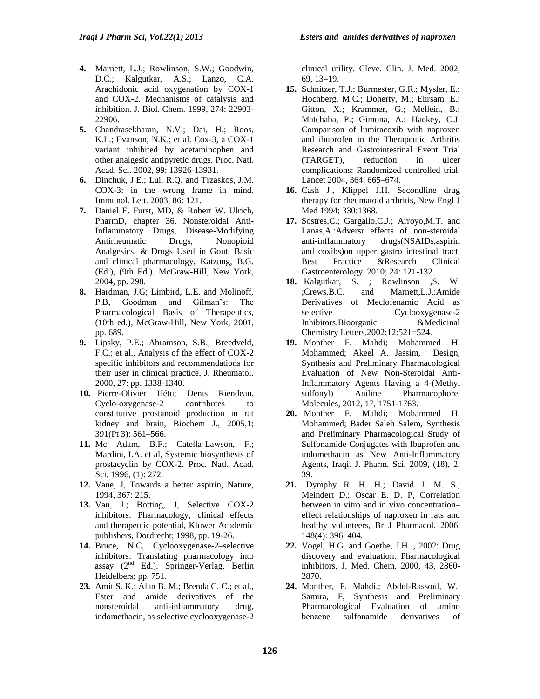- **4.** Marnett, L.J.; Rowlinson, S.W.; Goodwin, D.C.; Kalgutkar, A.S.; Lanzo, C.A. Arachidonic acid oxygenation by COX-1 and COX-2. Mechanisms of catalysis and inhibition. J. Biol. Chem. 1999, 274: 22903- 22906.
- **5.** Chandrasekharan, N.V.; Dai, H.; Roos, K.L.; Evanson, N.K.; et al. Cox-3, a COX-1 variant inhibited by acetaminophen and other analgesic antipyretic drugs. Proc. Natl. Acad. Sci. 2002, 99: 13926-13931.
- **6.** Dinchuk, J.E.; Lui, R.Q. and Trzaskos, J.M. COX-3: in the wrong frame in mind. Immunol. Lett. 2003, 86: 121.
- **7.** Daniel E. Furst, MD, & Robert W. Ulrich, PharmD, chapter 36. Nonsteroidal Anti-Inflammatory Drugs, Disease-Modifying Antirheumatic Drugs, Nonopioid Analgesics, & Drugs Used in Gout, Basic and clinical pharmacology, Katzung, B.G. (Ed.), (9th Ed.). McGraw-Hill, New York, 2004, pp. 298.
- **8.** Hardman, J.G; Limbird, L.E. and Molinoff, P.B, Goodman and Gilman's: The Pharmacological Basis of Therapeutics, (10th ed.), McGraw-Hill, New York, 2001, pp. 689.
- **9.** Lipsky, P.E.; Abramson, S.B.; Breedveld, F.C.; et al., Analysis of the effect of COX-2 specific inhibitors and recommendations for their user in clinical practice, J. Rheumatol. 2000, 27: pp. 1338-1340.
- **10.** [Pierre-Olivier Hétu;](http://www.ncbi.nlm.nih.gov/sites/entrez?cmd=search&db=PubMed&term=%20H%26%23x000e9%3Btu%20PO%5Bauth%5D) [Denis Riendeau,](http://www.ncbi.nlm.nih.gov/sites/entrez?cmd=search&db=PubMed&term=%20Riendeau%20D%5Bauth%5D) Cyclo-oxygenase-2 contributes to constitutive prostanoid production in rat kidney and brain, Biochem J., 2005,1; 391(Pt 3): 561–566.
- **11.** Mc Adam, B.F.; Catella-Lawson, F.; Mardini, I.A. et al, Systemic biosynthesis of prostacyclin by COX-2. Proc. Natl. Acad. Sci. 1996, (1): 272.
- **12.** Vane, J, Towards a better aspirin, Nature, 1994, 367: 215.
- 13. Van, J.; Botting, J. Selective COX-2 inhibitors. Pharmacology, clinical effects and therapeutic potential, Kluwer Academic publishers, Dordrecht; 1998, pp. 19-26.
- **14.** Bruce, N.C, Cyclooxygenase-2–selective inhibitors: Translating pharmacology into assay  $(2<sup>nd</sup> Ed.)$ . Springer-Verlag, Berlin Heidelbers; pp. 751.
- **23.** Amit S. K.; Alan B. M.; Brenda C. C.; et al., Ester and amide derivatives of the nonsteroidal anti-inflammatory drug, indomethacin, as selective cyclooxygenase-2

clinical utility. Cleve. Clin. J. Med. 2002, 69, 13–19.

- **15.** Schnitzer, T.J.; Burmester, G.R.; Mysler, E.; Hochberg, M.C.; Doherty, M.; Ehrsam, E.; Gitton, X.; Krammer, G.; Mellein, B.; Matchaba, P.; Gimona, A.; Haekey, C.J. Comparison of lumiracoxib with naproxen and ibuprofen in the Therapeutic Arthritis Research and Gastrointestinal Event Trial (TARGET), reduction in ulcer complications: Randomized controlled trial. Lancet 2004, 364, 665–674.
- **16.** Cash J., Klippel J.H. Secondline drug therapy for rheumatoid arthritis, New Engl J Med 1994; 330:1368.
- **17.** Sostres,C.; Gargallo,C.J.; Arroyo,M.T. and Lanas,A.:Adversr effects of non-steroidal anti-inflammatory drugs(NSAIDs,aspirin and coxibs)on upper gastro intestinal tract. Best Practice &Research Clinical Gastroenterology. 2010; 24: 121-132.
- **18.** Kalgutkar, S. ; Rowlinson ,S. W. ;Crews,B.C. and Marnett,L.J.:Amide Derivatives of Meclofenamic Acid as selective Cyclooxygenase-2 Inhibitors.Bioorganic &Medicinal Chemistry Letters.2002;12:521=524.
- **19.** Monther F. Mahdi; Mohammed H. Mohammed; Akeel A. Jassim, Design, Synthesis and Preliminary Pharmacological Evaluation of New Non-Steroidal Anti-Inflammatory Agents Having a 4-(Methyl sulfonyl) Aniline Pharmacophore, Molecules, 2012, 17, 1751-1763.
- **20.** Monther F. Mahdi; Mohammed H. Mohammed; Bader Saleh Salem, Synthesis and Preliminary Pharmacological Study of Sulfonamide Conjugates with Ibuprofen and indomethacin as New Anti-Inflammatory Agents, Iraqi. J. Pharm. Sci, 2009, (18), 2, 39.
- **21.** Dymphy R. H. H.; David J. M. S.; Meindert D.; Oscar E. D. P, Correlation between in vitro and in vivo concentration– effect relationships of naproxen in rats and healthy volunteers, Br J Pharmacol. 2006, 148(4): 396–404.
- **22.** Vogel, H.G. and Goethe, J.H. , 2002: Drug discovery and evaluation. Pharmacological inhibitors, J. Med. Chem, 2000, 43, 2860- 2870.
- **24.** Monther, F. Mahdi.; Abdul-Rassoul, W.; Samira, F, Synthesis and Preliminary Pharmacological Evaluation of amino<br>benzene sulfonamide derivatives of benzene sulfonamide derivatives of